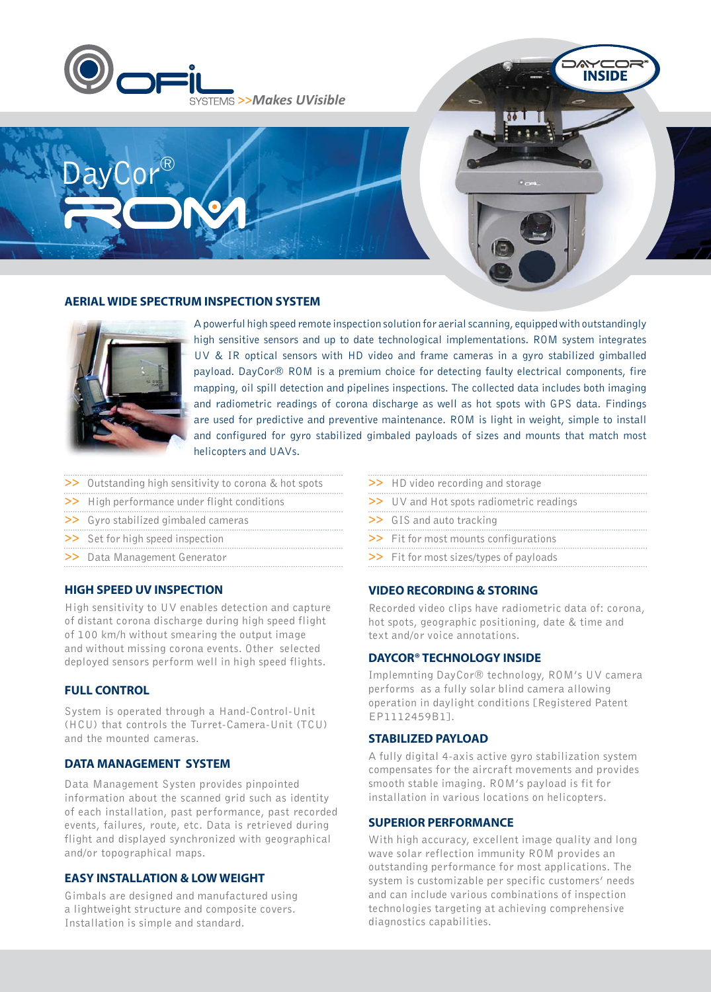



#### **AERIAL WIDE SPECTRUM INSPECTION SYSTEM**



A powerful high speed remote inspection solution for aerial scanning, equipped with outstandingly high sensitive sensors and up to date technological implementations. ROM system integrates UV & IR optical sensors with HD video and frame cameras in a gyro stabilized gimballed payload. DayCor® ROM is a premium choice for detecting faulty electrical components, fire mapping, oil spill detection and pipelines inspections. The collected data includes both imaging and radiometric readings of corona discharge as well as hot spots with GPS data. Findings are used for predictive and preventive maintenance. ROM is light in weight, simple to install and configured for gyro stabilized gimbaled payloads of sizes and mounts that match most helicopters and UAVs.

- >> Outstanding high sensitivity to corona & hot spots
- >> High performance under flight conditions
- >> Gyro stabilized gimbaled cameras
- >> Set for high speed inspection
- >> Data Management Generator

### **HIGH SPEED UV INSPECTION**

High sensitivity to UV enables detection and capture of distant corona discharge during high speed flight of 100 km/h without smearing the output image and without missing corona events. Other selected deployed sensors perform well in high speed flights.

#### **FULL CONTROL**

System is operated through a Hand-Control-Unit (HCU) that controls the Turret-Camera-Unit (TCU) and the mounted cameras.

#### **DATA MANAGEMENT SYSTEM**

Data Management Systen provides pinpointed information about the scanned grid such as identity of each installation, past performance, past recorded events, failures, route, etc. Data is retrieved during flight and displayed synchronized with geographical and/or topographical maps.

## **EASY INSTALLATION & LOW WEIGHT**

Gimbals are designed and manufactured using a lightweight structure and composite covers. Installation is simple and standard.

- >> HD video recording and storage
- >> UV and Hot spots radiometric readings
- >> GIS and auto tracking
- >> Fit for most mounts configurations
- >> Fit for most sizes/types of payloads

#### **VIDEO RECORDING & STORING**

Recorded video clips have radiometric data of: corona, hot spots, geographic positioning, date & time and text and/or voice annotations.

**INSIDE** 

#### **DAYCOR® TECHNOLOGY INSIDE**

Implemnting DayCor® technology, ROM's UV camera performs as a fully solar blind camera allowing operation in daylight conditions [Registered Patent EP1112459B1].

### **STABILIZED PAYLOAD**

A fully digital 4-axis active gyro stabilization system compensates for the aircraft movements and provides smooth stable imaging. ROM's payload is fit for installation in various locations on helicopters.

### **SUPERIOR PERFORMANCE**

With high accuracy, excellent image quality and long wave solar reflection immunity ROM provides an outstanding performance for most applications. The system is customizable per specific customers' needs and can include various combinations of inspection technologies targeting at achieving comprehensive diagnostics capabilities.